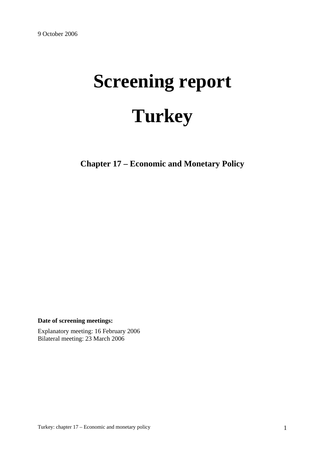# **Screening report Turkey**

**Chapter 17 – Economic and Monetary Policy** 

**Date of screening meetings:**

Explanatory meeting: 16 February 2006 Bilateral meeting: 23 March 2006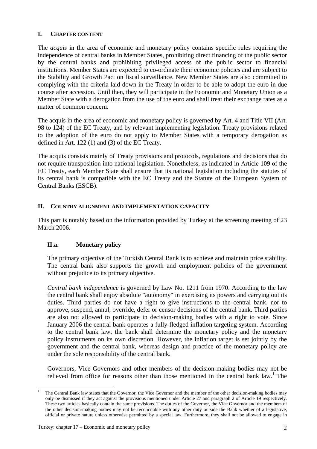### **I. CHAPTER CONTENT**

The *acquis* in the area of economic and monetary policy contains specific rules requiring the independence of central banks in Member States, prohibiting direct financing of the public sector by the central banks and prohibiting privileged access of the public sector to financial institutions. Member States are expected to co-ordinate their economic policies and are subject to the Stability and Growth Pact on fiscal surveillance. New Member States are also committed to complying with the criteria laid down in the Treaty in order to be able to adopt the euro in due course after accession. Until then, they will participate in the Economic and Monetary Union as a Member State with a derogation from the use of the euro and shall treat their exchange rates as a matter of common concern.

The acquis in the area of economic and monetary policy is governed by Art. 4 and Title VII (Art. 98 to 124) of the EC Treaty, and by relevant implementing legislation. Treaty provisions related to the adoption of the euro do not apply to Member States with a temporary derogation as defined in Art. 122 (1) and (3) of the EC Treaty.

The acquis consists mainly of Treaty provisions and protocols, regulations and decisions that do not require transposition into national legislation. Nonetheless, as indicated in Article 109 of the EC Treaty, each Member State shall ensure that its national legislation including the statutes of its central bank is compatible with the EC Treaty and the Statute of the European System of Central Banks (ESCB).

## **II. COUNTRY ALIGNMENT AND IMPLEMENTATION CAPACITY**

This part is notably based on the information provided by Turkey at the screening meeting of 23 March 2006.

### **II.a. Monetary policy**

The primary objective of the Turkish Central Bank is to achieve and maintain price stability. The central bank also supports the growth and employment policies of the government without prejudice to its primary objective.

*Central bank independence* is governed by Law No. 1211 from 1970. According to the law the central bank shall enjoy absolute "autonomy" in exercising its powers and carrying out its duties. Third parties do not have a right to give instructions to the central bank, nor to approve, suspend, annul, override, defer or censor decisions of the central bank. Third parties are also not allowed to participate in decision-making bodies with a right to vote. Since January 2006 the central bank operates a fully-fledged inflation targeting system. According to the central bank law, the bank shall determine the monetary policy and the monetary policy instruments on its own discretion. However, the inflation target is set jointly by the government and the central bank, whereas design and practice of the monetary policy are under the sole responsibility of the central bank.

Governors, Vice Governors and other members of the decision-making bodies may not be relieved from office for reasons other than those mentioned in the central bank law.<sup>1</sup> The

 $\overline{a}$ 

<sup>1</sup> The Central Bank law states that the Governor, the Vice Governor and the member of the other decision-making bodies may only be dismissed if they act against the provisions mentioned under Article 27 and paragraph 2 of Article 19 respectively. These two articles basically contain the same provisions. The duties of the Governor, the Vice Governor and the members of the other decision-making bodies may not be reconcilable with any other duty outside the Bank whether of a legislative, official or private nature unless otherwise permitted by a special law. Furthermore, they shall not be allowed to engage in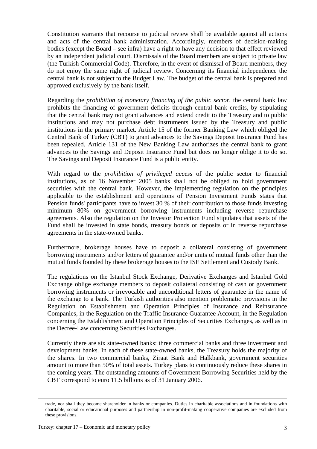Constitution warrants that recourse to judicial review shall be available against all actions and acts of the central bank administration. Accordingly, members of decision-making bodies (except the Board – see infra) have a right to have any decision to that effect reviewed by an independent judicial court. Dismissals of the Board members are subject to private law (the Turkish Commercial Code). Therefore, in the event of dismissal of Board members, they do not enjoy the same right of judicial review. Concerning its financial independence the central bank is not subject to the Budget Law. The budget of the central bank is prepared and approved exclusively by the bank itself.

Regarding the *prohibition of monetary financing of the public sector*, the central bank law prohibits the financing of government deficits through central bank credits, by stipulating that the central bank may not grant advances and extend credit to the Treasury and to public institutions and may not purchase debt instruments issued by the Treasury and public institutions in the primary market. Article 15 of the former Banking Law which obliged the Central Bank of Turkey (CBT) to grant advances to the Savings Deposit Insurance Fund has been repealed. Article 131 of the New Banking Law authorizes the central bank to grant advances to the Savings and Deposit Insurance Fund but does no longer oblige it to do so. The Savings and Deposit Insurance Fund is a public entity.

With regard to the *prohibition of privileged access* of the public sector to financial institutions, as of 16 November 2005 banks shall not be obliged to hold government securities with the central bank. However, the implementing regulation on the principles applicable to the establishment and operations of Pension Investment Funds states that Pension funds' participants have to invest 30 % of their contribution to those funds investing minimum 80% on government borrowing instruments including reverse repurchase agreements. Also the regulation on the Investor Protection Fund stipulates that assets of the Fund shall be invested in state bonds, treasury bonds or deposits or in reverse repurchase agreements in the state-owned banks.

Furthermore, brokerage houses have to deposit a collateral consisting of government borrowing instruments and/or letters of guarantee and/or units of mutual funds other than the mutual funds founded by these brokerage houses to the ISE Settlement and Custody Bank.

The regulations on the Istanbul Stock Exchange, Derivative Exchanges and Istanbul Gold Exchange oblige exchange members to deposit collateral consisting of cash or government borrowing instruments or irrevocable and unconditional letters of guarantee in the name of the exchange to a bank. The Turkish authorities also mention problematic provisions in the Regulation on Establishment and Operation Principles of Insurance and Reinsurance Companies, in the Regulation on the Traffic Insurance Guarantee Account, in the Regulation concerning the Establishment and Operation Principles of Securities Exchanges, as well as in the Decree-Law concerning Securities Exchanges.

Currently there are six state-owned banks: three commercial banks and three investment and development banks. In each of these state-owned banks, the Treasury holds the majority of the shares. In two commercial banks, Ziraat Bank and Halkbank, government securities amount to more than 50% of total assets. Turkey plans to continuously reduce these shares in the coming years. The outstanding amounts of Government Borrowing Securities held by the CBT correspond to euro 11.5 billions as of 31 January 2006.

trade, nor shall they become shareholder in banks or companies. Duties in charitable associations and in foundations with charitable, social or educational purposes and partnership in non-profit-making cooperative companies are excluded from these provisions.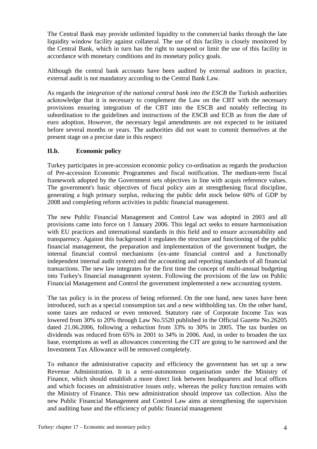The Central Bank may provide unlimited liquidity to the commercial banks through the late liquidity window facility against collateral. The use of this facility is closely monitored by the Central Bank, which in turn has the right to suspend or limit the use of this facility in accordance with monetary conditions and its monetary policy goals.

Although the central bank accounts have been audited by external auditors in practice, external audit is not mandatory according to the Central Bank Law.

As regards the *integration of the national central bank into the ESCB* the Turkish authorities acknowledge that it is necessary to complement the Law on the CBT with the necessary provisions ensuring integration of the CBT into the ESCB and notably reflecting its subordination to the guidelines and instructions of the ESCB and ECB as from the date of euro adoption. However, the necessary legal amendments are not expected to be initiated before several months or years. The authorities did not want to commit themselves at the present stage on a precise date in this respect

### **II.b. Economic policy**

Turkey participates in pre-accession economic policy co-ordination as regards the production of Pre-accession Economic Programmes and fiscal notification. The medium-term fiscal framework adopted by the Government sets objectives in line with acquis reference values. The government's basic objectives of fiscal policy aim at strengthening fiscal discipline, generating a high primary surplus, reducing the public debt stock below 60% of GDP by 2008 and completing reform activities in public financial management.

The new Public Financial Management and Control Law was adopted in 2003 and all provisions came into force on 1 January 2006. This legal act seeks to ensure harmonisation with EU practices and international standards in this field and to ensure accountability and transparency. Against this background it regulates the structure and functioning of the public financial management, the preparation and implementation of the government budget, the internal financial control mechanisms (ex-ante financial control and a functionally independent internal audit system) and the accounting and reporting standards of all financial transactions. The new law integrates for the first time the concept of multi-annual budgeting into Turkey's financial management system. Following the provisions of the law on Public Financial Management and Control the government implemented a new accounting system.

The tax policy is in the process of being reformed. On the one hand, new taxes have been introduced, such as a special consumption tax and a new withholding tax. On the other hand, some taxes are reduced or even removed. Statutory rate of Corporate Income Tax was lowered from 30% to 20% through Law No.5520 published in the Official Gazette No.26205 dated 21.06.2006, following a reduction from 33% to 30% in 2005. The tax burden on dividends was reduced from 65% in 2001 to 34% in 2006. And, in order to broaden the tax base, exemptions as well as allowances concerning the CIT are going to be narrowed and the Investment Tax Allowance will be removed completely.

To enhance the administrative capacity and efficiency the government has set up a new Revenue Administration. It is a semi-autonomous organisation under the Ministry of Finance, which should establish a more direct link between headquarters and local offices and which focuses on administrative issues only, whereas the policy function remains with the Ministry of Finance. This new administration should improve tax collection. Also the new Public Financial Management and Control Law aims at strengthening the supervision and auditing base and the efficiency of public financial management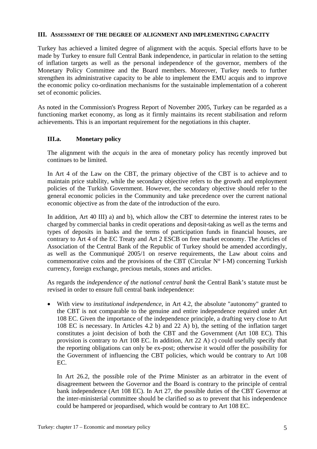#### **III. ASSESSMENT OF THE DEGREE OF ALIGNMENT AND IMPLEMENTING CAPACITY**

Turkey has achieved a limited degree of alignment with the acquis. Special efforts have to be made by Turkey to ensure full Central Bank independence, in particular in relation to the setting of inflation targets as well as the personal independence of the governor, members of the Monetary Policy Committee and the Board members. Moreover, Turkey needs to further strengthen its administrative capacity to be able to implement the EMU acquis and to improve the economic policy co-ordination mechanisms for the sustainable implementation of a coherent set of economic policies.

As noted in the Commission's Progress Report of November 2005, Turkey can be regarded as a functioning market economy, as long as it firmly maintains its recent stabilisation and reform achievements. This is an important requirement for the negotiations in this chapter.

#### **III.a. Monetary policy**

The alignment with the *acquis* in the area of monetary policy has recently improved but continues to be limited.

In Art 4 of the Law on the CBT, the primary objective of the CBT is to achieve and to maintain price stability, while the secondary objective refers to the growth and employment policies of the Turkish Government. However, the secondary objective should refer to the general economic policies in the Community and take precedence over the current national economic objective as from the date of the introduction of the euro.

In addition, Art 40 III) a) and b), which allow the CBT to determine the interest rates to be charged by commercial banks in credit operations and deposit-taking as well as the terms and types of deposits in banks and the terms of participation funds in financial houses, are contrary to Art 4 of the EC Treaty and Art 2 ESCB on free market economy. The Articles of Association of the Central Bank of the Republic of Turkey should be amended accordingly, as well as the Communiqué 2005/1 on reserve requirements, the Law about coins and commemorative coins and the provisions of the CBT (Circular  $N^{\circ}$  I-M) concerning Turkish currency, foreign exchange, precious metals, stones and articles.

As regards the *independence of the national central bank* the Central Bank's statute must be revised in order to ensure full central bank independence:

• With view to *institutional independence*, in Art 4.2, the absolute "autonomy" granted to the CBT is not comparable to the genuine and entire independence required under Art 108 EC. Given the importance of the independence principle, a drafting very close to Art 108 EC is necessary. In Articles 4.2 b) and 22 A) b), the setting of the inflation target constitutes a joint decision of both the CBT and the Government (Art 108 EC). This provision is contrary to Art 108 EC. In addition, Art 22 A) c) could usefully specify that the reporting obligations can only be ex-post; otherwise it would offer the possibility for the Government of influencing the CBT policies, which would be contrary to Art 108 EC.

 In Art 26.2, the possible role of the Prime Minister as an arbitrator in the event of disagreement between the Governor and the Board is contrary to the principle of central bank independence (Art 108 EC). In Art 27, the possible duties of the CBT Governor at the inter-ministerial committee should be clarified so as to prevent that his independence could be hampered or jeopardised, which would be contrary to Art 108 EC.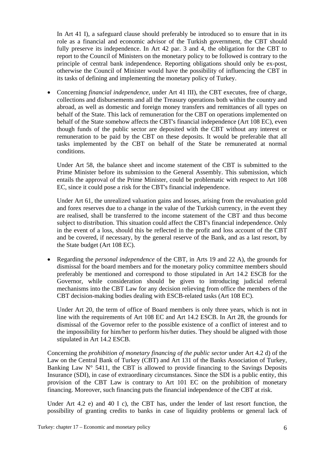In Art 41 I), a safeguard clause should preferably be introduced so to ensure that in its role as a financial and economic advisor of the Turkish government, the CBT should fully preserve its independence. In Art 42 par. 3 and 4, the obligation for the CBT to report to the Council of Ministers on the monetary policy to be followed is contrary to the principle of central bank independence. Reporting obligations should only be ex-post, otherwise the Council of Minister would have the possibility of influencing the CBT in its tasks of defining and implementing the monetary policy of Turkey.

• Concerning *financial independence,* under Art 41 III), the CBT executes, free of charge, collections and disbursements and all the Treasury operations both within the country and abroad, as well as domestic and foreign money transfers and remittances of all types on behalf of the State. This lack of remuneration for the CBT on operations implemented on behalf of the State somehow affects the CBT's financial independence (Art 108 EC), even though funds of the public sector are deposited with the CBT without any interest or remuneration to be paid by the CBT on these deposits. It would be preferable that all tasks implemented by the CBT on behalf of the State be remunerated at normal conditions.

 Under Art 58, the balance sheet and income statement of the CBT is submitted to the Prime Minister before its submission to the General Assembly. This submission, which entails the approval of the Prime Minister, could be problematic with respect to Art 108 EC, since it could pose a risk for the CBT's financial independence.

 Under Art 61, the unrealized valuation gains and losses, arising from the revaluation gold and forex reserves due to a change in the value of the Turkish currency, in the event they are realised, shall be transferred to the income statement of the CBT and thus become subject to distribution. This situation could affect the CBT's financial independence. Only in the event of a loss, should this be reflected in the profit and loss account of the CBT and be covered, if necessary, by the general reserve of the Bank, and as a last resort, by the State budget (Art 108 EC).

• Regarding the *personal independence* of the CBT, in Arts 19 and 22 A), the grounds for dismissal for the board members and for the monetary policy committee members should preferably be mentioned and correspond to those stipulated in Art 14.2 ESCB for the Governor, while consideration should be given to introducing judicial referral mechanisms into the CBT Law for any decision relieving from office the members of the CBT decision-making bodies dealing with ESCB-related tasks (Art 108 EC).

 Under Art 20, the term of office of Board members is only three years, which is not in line with the requirements of Art 108 EC and Art 14.2 ESCB. In Art 28, the grounds for dismissal of the Governor refer to the possible existence of a conflict of interest and to the impossibility for him/her to perform his/her duties. They should be aligned with those stipulated in Art 14.2 ESCB.

Concerning the *prohibition of monetary financing of the public sector* under Art 4.2 d) of the Law on the Central Bank of Turkey (CBT) and Art 131 of the Banks Association of Turkey, Banking Law  $N^{\circ}$  5411, the CBT is allowed to provide financing to the Savings Deposits Insurance (SDI), in case of extraordinary circumstances. Since the SDI is a public entity, this provision of the CBT Law is contrary to Art 101 EC on the prohibition of monetary financing. Moreover, such financing puts the financial independence of the CBT at risk.

Under Art 4.2 e) and 40 I c), the CBT has, under the lender of last resort function, the possibility of granting credits to banks in case of liquidity problems or general lack of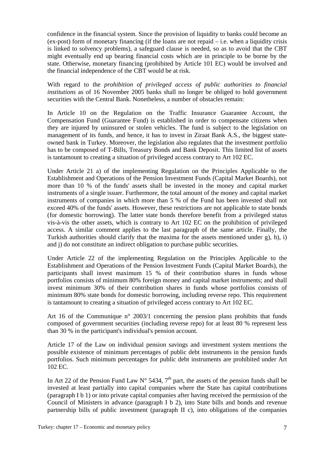confidence in the financial system. Since the provision of liquidity to banks could become an (ex-post) form of monetary financing (if the loans are not repaid – i.e. when a liquidity crisis is linked to solvency problems), a safeguard clause is needed, so as to avoid that the CBT might eventually end up bearing financial costs which are in principle to be borne by the state. Otherwise, monetary financing (prohibited by Article 101 EC) would be involved and the financial independence of the CBT would be at risk.

With regard to the *prohibition of privileged access of public authorities to financial institutions* as of 16 November 2005 banks shall no longer be obliged to hold government securities with the Central Bank. Nonetheless, a number of obstacles remain:

In Article 10 on the Regulation on the Traffic Insurance Guarantee Account, the Compensation Fund (Guarantee Fund) is established in order to compensate citizens when they are injured by uninsured or stolen vehicles. The fund is subject to the legislation on management of its funds, and hence, it has to invest in Ziraat Bank A.S., the biggest stateowned bank in Turkey. Moreover, the legislation also regulates that the investment portfolio has to be composed of T-Bills, Treasury Bonds and Bank Deposit. This limited list of assets is tantamount to creating a situation of privileged access contrary to Art 102 EC.

Under Article 21 a) of the implementing Regulation on the Principles Applicable to the Establishment and Operations of the Pension Investment Funds (Capital Market Boards), not more than 10 % of the funds' assets shall be invested in the money and capital market instruments of a single issuer. Furthermore, the total amount of the money and capital market instruments of companies in which more than 5 % of the Fund has been invested shall not exceed 40% of the funds' assets. However, these restrictions are not applicable to state bonds (for domestic borrowing). The latter state bonds therefore benefit from a privileged status vis-à-vis the other assets, which is contrary to Art 102 EC on the prohibition of privileged access. A similar comment applies to the last paragraph of the same article. Finally, the Turkish authorities should clarify that the maxima for the assets mentioned under g), h), i) and j) do not constitute an indirect obligation to purchase public securities.

Under Article 22 of the implementing Regulation on the Principles Applicable to the Establishment and Operations of the Pension Investment Funds (Capital Market Boards), the participants shall invest maximum 15 % of their contribution shares in funds whose portfolios consists of minimum 80% foreign money and capital market instruments; and shall invest minimum 30% of their contribution shares in funds whose portfolios consists of minimum 80% state bonds for domestic borrowing, including reverse repo. This requirement is tantamount to creating a situation of privileged access contrary to Art 102 EC.

Art 16 of the Communique n° 2003/1 concerning the pension plans prohibits that funds composed of government securities (including reverse repo) for at least 80 % represent less than 30 % in the participant's individual's pension account.

Article 17 of the Law on individual pension savings and investment system mentions the possible existence of minimum percentages of public debt instruments in the pension funds portfolios. Such minimum percentages for public debt instruments are prohibited under Art 102 EC.

In Art 22 of the Pension Fund Law  $N^{\circ}$  5434, 7<sup>th</sup> part, the assets of the pension funds shall be invested at least partially into capital companies where the State has capital contributions (paragraph I b 1) or into private capital companies after having received the permission of the Council of Ministers in advance (paragraph I b 2), into State bills and bonds and revenue partnership bills of public investment (paragraph II c), into obligations of the companies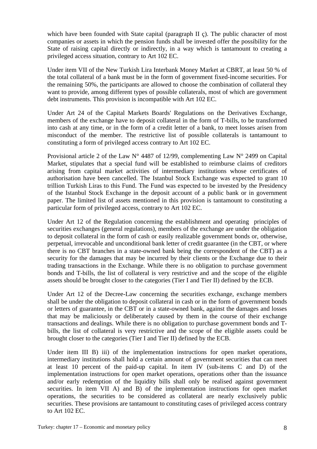which have been founded with State capital (paragraph II c). The public character of most companies or assets in which the pension funds shall be invested offer the possibility for the State of raising capital directly or indirectly, in a way which is tantamount to creating a privileged access situation, contrary to Art 102 EC.

Under item VII of the New Turkish Lira Interbank Money Market at CBRT, at least 50 % of the total collateral of a bank must be in the form of government fixed-income securities. For the remaining 50%, the participants are allowed to choose the combination of collateral they want to provide, among different types of possible collaterals, most of which are government debt instruments. This provision is incompatible with Art 102 EC.

Under Art 24 of the Capital Markets Boards' Regulations on the Derivatives Exchange, members of the exchange have to deposit collateral in the form of T-bills, to be transformed into cash at any time, or in the form of a credit letter of a bank, to meet losses arisen from misconduct of the member. The restrictive list of possible collaterals is tantamount to constituting a form of privileged access contrary to Art 102 EC.

Provisional article 2 of the Law  $N^{\circ}$  4487 of 12/99, complementing Law  $N^{\circ}$  2499 on Capital Market, stipulates that a special fund will be established to reimburse claims of creditors arising from capital market activities of intermediary institutions whose certificates of authorisation have been cancelled. The Istanbul Stock Exchange was expected to grant 10 trillion Turkish Liras to this Fund. The Fund was expected to be invested by the Presidency of the Istanbul Stock Exchange in the deposit account of a public bank or in government paper. The limited list of assets mentioned in this provision is tantamount to constituting a particular form of privileged access, contrary to Art 102 EC.

Under Art 12 of the Regulation concerning the establishment and operating principles of securities exchanges (general regulations), members of the exchange are under the obligation to deposit collateral in the form of cash or easily realizable government bonds or, otherwise, perpetual, irrevocable and unconditional bank letter of credit guarantee (in the CBT, or where there is no CBT branches in a state-owned bank being the correspondent of the CBT) as a security for the damages that may be incurred by their clients or the Exchange due to their trading transactions in the Exchange. While there is no obligation to purchase government bonds and T-bills, the list of collateral is very restrictive and and the scope of the eligible assets should be brought closer to the categories (Tier I and Tier II) defined by the ECB.

Under Art 12 of the Decree-Law concerning the securities exchange, exchange members shall be under the obligation to deposit collateral in cash or in the form of government bonds or letters of guarantee, in the CBT or in a state-owned bank, against the damages and losses that may be maliciously or deliberately caused by them in the course of their exchange transactions and dealings. While there is no obligation to purchase government bonds and Tbills, the list of collateral is very restrictive and the scope of the eligible assets could be brought closer to the categories (Tier I and Tier II) defined by the ECB.

Under item III B) iii) of the implementation instructions for open market operations, intermediary institutions shall hold a certain amount of government securities that can meet at least 10 percent of the paid-up capital. In item IV (sub-items C and D) of the implementation instructions for open market operations, operations other than the issuance and/or early redemption of the liquidity bills shall only be realised against government securities. In item VII A) and B) of the implementation instructions for open market operations, the securities to be considered as collateral are nearly exclusively public securities. These provisions are tantamount to constituting cases of privileged access contrary to Art 102 EC.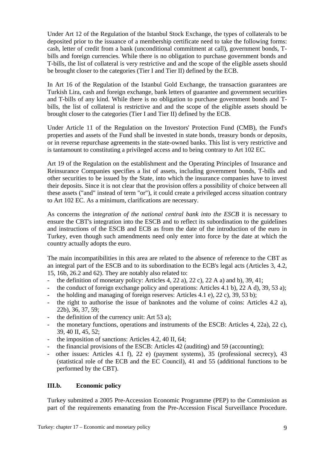Under Art 12 of the Regulation of the Istanbul Stock Exchange, the types of collaterals to be deposited prior to the issuance of a membership certificate need to take the following forms: cash, letter of credit from a bank (unconditional commitment at call), government bonds, Tbills and foreign currencies. While there is no obligation to purchase government bonds and T-bills, the list of collateral is very restrictive and and the scope of the eligible assets should be brought closer to the categories (Tier I and Tier II) defined by the ECB.

In Art 16 of the Regulation of the Istanbul Gold Exchange, the transaction guarantees are Turkish Lira, cash and foreign exchange, bank letters of guarantee and government securities and T-bills of any kind. While there is no obligation to purchase government bonds and Tbills, the list of collateral is restrictive and and the scope of the eligible assets should be brought closer to the categories (Tier I and Tier II) defined by the ECB.

Under Article 11 of the Regulation on the Investors' Protection Fund (CMB), the Fund's properties and assets of the Fund shall be invested in state bonds, treasury bonds or deposits, or in reverse repurchase agreements in the state-owned banks. This list is very restrictive and is tantamount to constituting a privileged access and to being contrary to Art 102 EC.

Art 19 of the Regulation on the establishment and the Operating Principles of Insurance and Reinsurance Companies specifies a list of assets, including government bonds, T-bills and other securities to be issued by the State, into which the insurance companies have to invest their deposits. Since it is not clear that the provision offers a possibility of choice between all these assets ("and" instead of term "or"), it could create a privileged access situation contrary to Art 102 EC. As a minimum, clarifications are necessary.

As concerns the i*ntegration of the national central bank into the ESCB* it is necessary to ensure the CBT's integration into the ESCB and to reflect its subordination to the guidelines and instructions of the ESCB and ECB as from the date of the introduction of the euro in Turkey, even though such amendments need only enter into force by the date at which the country actually adopts the euro.

The main incompatibilities in this area are related to the absence of reference to the CBT as an integral part of the ESCB and to its subordination to the ECB's legal acts (Articles 3, 4.2, 15, 16b, 26.2 and 62). They are notably also related to:

- the definition of monetary policy: Articles 4, 22 a), 22 c), 22 A a) and b), 39, 41;
- the conduct of foreign exchange policy and operations: Articles 4.1 b), 22 A d), 39, 53 a);
- the holding and managing of foreign reserves: Articles 4.1 e), 22 c), 39, 53 b);
- the right to authorise the issue of banknotes and the volume of coins: Articles 4.2 a), 22b), 36, 37, 59;
- the definition of the currency unit: Art 53 a);
- the monetary functions, operations and instruments of the ESCB: Articles 4, 22a), 22 c), 39, 40 II, 45, 52;
- the imposition of sanctions: Articles 4.2, 40 II, 64;
- the financial provisions of the ESCB: Articles 42 (auditing) and 59 (accounting);
- other issues: Articles 4.1 f), 22 e) (payment systems), 35 (professional secrecy), 43 (statistical role of the ECB and the EC Council), 41 and 55 (additional functions to be performed by the CBT).

### **III.b. Economic policy**

Turkey submitted a 2005 Pre-Accession Economic Programme (PEP) to the Commission as part of the requirements emanating from the Pre-Accession Fiscal Surveillance Procedure.